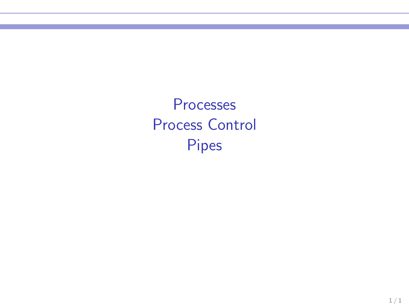Processes Process Control Pipes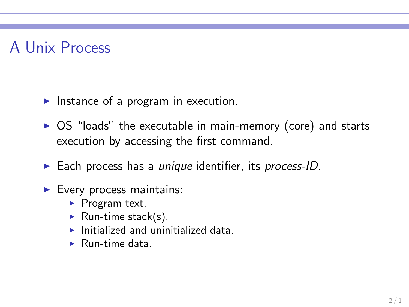## A Unix Process

- $\blacktriangleright$  Instance of a program in execution.
- ▶ OS "loads" the executable in main-memory (core) and starts execution by accessing the first command.
- ► Each process has a *unique* identifier, its *process-ID*.
- ▶ Every process maintains:
	- ▶ Program text.
	- Run-time stack(s).
	- $\blacktriangleright$  Initialized and uninitialized data.
	- $\blacktriangleright$  Run-time data.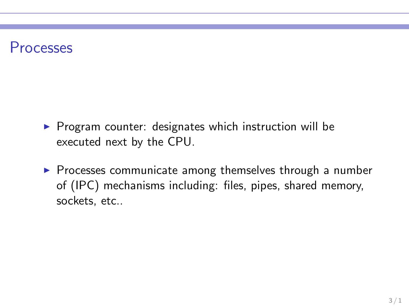#### Processes

- ▶ Program counter: designates which instruction will be executed next by the CPU.
- ▶ Processes communicate among themselves through a number of (IPC) mechanisms including: files, pipes, shared memory, sockets, etc..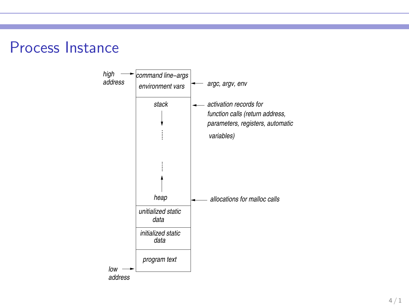

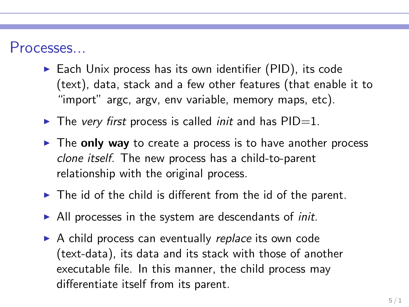#### Processes...

- $\triangleright$  Each Unix process has its own identifier (PID), its code (text), data, stack and a few other features (that enable it to "import" argc, argv, env variable, memory maps, etc).
- ► The *very first* process is called *init* and has PID=1.
- $\triangleright$  The only way to create a process is to have another process *clone itself*. The new process has a child-to-parent relationship with the original process.
- $\blacktriangleright$  The id of the child is different from the id of the parent.
- ▶ All processes in the system are descendants of *init*.
- ▶ A child process can eventually *replace* its own code (text-data), its data and its stack with those of another executable file. In this manner, the child process may differentiate itself from its parent.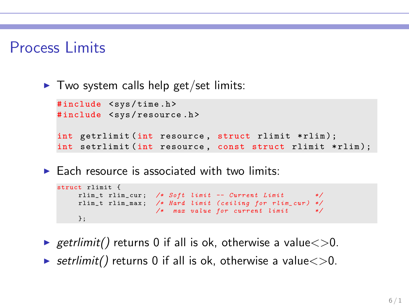#### Process Limits

 $\blacktriangleright$  Two system calls help get/set limits:

```
#include <sys/time.h>
#include <sys/resource.h>
int getrlimit (int resource, struct rlimit *rlim);
int setrlimit (int resource, const struct rlimit *rlim);
```
 $\triangleright$  Each resource is associated with two limits:

```
struct rlimit {
    rlim_t rlim_cur ; /* Soft limit -- Current Limit */
    rlim_t rlim_max ; /* Hard limit ( ceiling for rlim_cur ) */
                     /* max value for current limit */
    };
```
- $\triangleright$  getrlimit() returns 0 if all is ok, otherwise a value $\lt$  $>$ 0.
- $\triangleright$  setrlimit() returns 0 if all is ok, otherwise a value $\lt$  $>$ 0.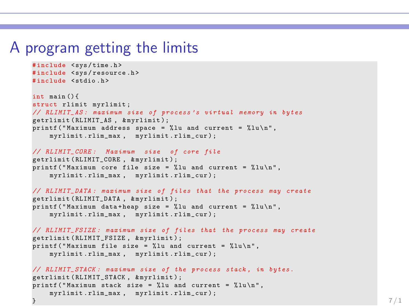#### A program getting the limits

```
# include < sys / time .h >
#include <sys/resource.h>
# include < stdio .h >
int main () {
struct rlimit myrlimit ;
// RLIMIT_AS : maximum size of process 's virtual memory in bytes
getrlimit ( RLIMIT_AS , & myrlimit );
printf ("Maximum address space = %lu and current = %lu\n",
    myrlimit.rlim max , myrlimit.rlim cur ) ;
// RLIMIT_CORE : Maximum size of core file
getrlimit ( RLIMIT_CORE , & myrlimit ) ;
printf ("Maximum core file size = \chilu and current = \chilu\ln",
    myrlimit . rlim_max , myrlimit . rlim_cur ) ;
// RLIMIT_DATA : maximum size of files that the process may create
getrlimit ( RLIMIT_DATA , & myrlimit ) ;
printf ("Maximum data + heap size = %lu and current = %lu \n",
    myrlimit. rlim max , myrlimit. rlim cur ) ;
// RLIMIT_FSIZE : maximum size of files that the process may create
getrlimit (RLIMIT_FSIZE, & myrlimit) ;
printf ("Maximum file size = \frac{6}{6}lu and current = \frac{6}{6}lu \n",
    myrlimit . rlim_max , myrlimit . rlim_cur ) ;
// RLIMIT_STACK : maximum size of the process stack , in bytes .
getrlimit ( RLIMIT_STACK , & myrlimit ) ;
print(f("Maximum stack size = "lu and current = "lu\nu".myrlimit . rlim_max , _ myrlimit . rlim_cur ) ;
} the contract of the contract of the contract of the contract of the contract of the contract of 7/1
```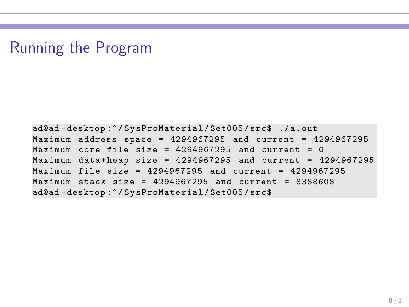### Running the Program

ad@ad - desktop :~/ SysProMaterial / Set005 / src\$ ./ a. out Maximum address space = 4294967295 and current = 4294967295  $Maximum core file size = 4294967295 and current = 0$ Maximum data + heap size =  $4294967295$  and current =  $4294967295$ Maximum file size =  $4294967295$  and current =  $4294967295$ Maximum stack size =  $4294967295$  and current =  $8388608$ ad@ad - desktop :~/ SysProMaterial / Set005 / src\$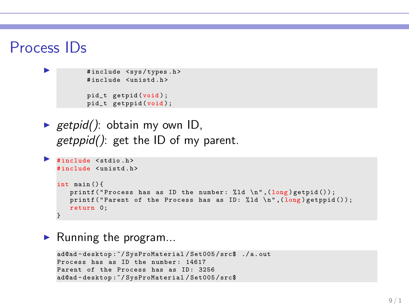#### Process IDs

```
#include <sys/types.h>
# include < unistd .h >
pid_t getpid (void ) ;
pid_t getppid (void );
```
► getpid(): obtain my own ID, *getppid()*: get the ID of my parent.

```
▶ #include <stdio.h>
   # include < unistd .h >
   int main () {
       printf ("Process has as ID the number: \lambda 1d \n\in (long) getpid();
       printf ("Parent of the Process has as ID: \lambda \ln", (long) getppid ());
       return 0;
   }
```
 $\blacktriangleright$  Running the program...

```
ad@ad - desktop :~/ SysProMaterial / Set005 / src$ ./ a. out
Process has as ID the number: 14617
Parent of the Process has as ID: 3256
ad@ad - desktop :~/ SysProMaterial / Set005 / src$
```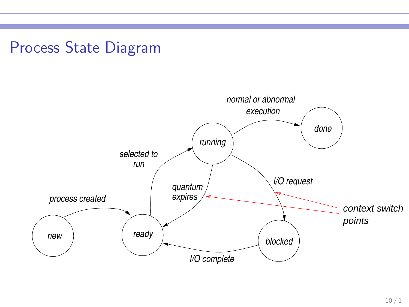### Process State Diagram

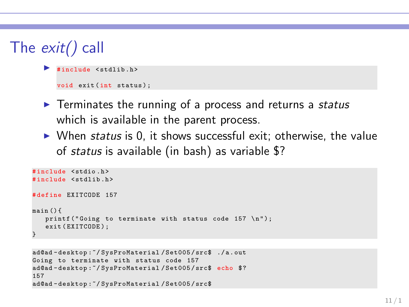```
The exit() call
```

```
#include <stdlib.h>
void exit (int status):
```
- ◮ Terminates the running of a process and returns a *status* which is available in the parent process.
- ▶ When *status* is 0, it shows successful exit; otherwise, the value of *status* is available (in bash) as variable \$?

```
# include < stdio .h >
#include <stdlib.h>
# define EXITCODE 157
main () {
   printf ("Goinr to terminate with status code 157 \space \n\mid n"):
   exit (EXITCODE);
}
```

```
ad@ad - desktop :~/ SysProMaterial / Set005 / src$ ./ a . out
Going to terminate with status code 157
ad@ad-desktop:"/SysProMaterial/Set005/src$ echo $?
157
ad@ad - desktop :~/ SysProMaterial / Set005 / src$
```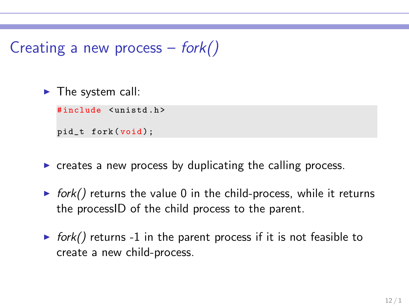## Creating a new process  $-$  fork()

 $\blacktriangleright$  The system call:

#include <unistd.h>

pid\_t fork(void);

- $\triangleright$  creates a new process by duplicating the calling process.
- ► *fork()* returns the value 0 in the child-process, while it returns the processID of the child process to the parent.
- $\triangleright$  fork() returns -1 in the parent process if it is not feasible to create a new child-process.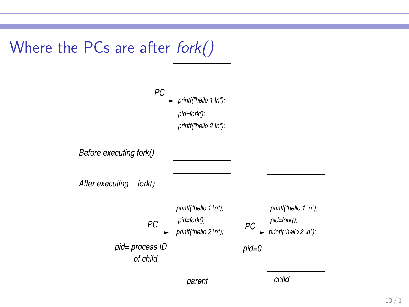

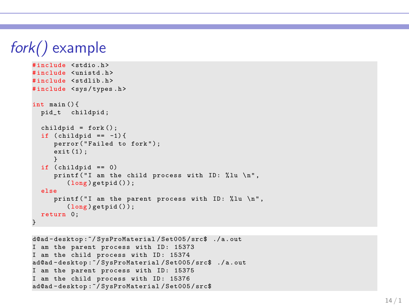## fork() example

```
# include < stdio .h >
# include < unistd .h >
#include <stdlib.h>
# include < sys / types .h >
int main () {
  pid_t childpid ;
  child = fork():
  if (cchild = -1) {
     perror ("Failed to fork");
     exit (1) ;
     }
  if (cchild == 0)printf ("I am the child process with ID: %lu \n",
        (long) getpid();
  else
     printf ("I am the parent process with ID: %lu \n",
        (long) getpid();
  return 0;
}
```

```
d@ad - desktop :~/ SysProMaterial / Set005 / src$ ./ a . out
I am the parent process with ID: 15373
I am the child process with ID: 15374
ad@ad - desktop :~/ SysProMaterial / Set005 / src$ ./ a . out
I am the parent process with ID: 15375
I am the child process with ID: 15376
ad@ad - desktop :~/ SysProMaterial / Set005 / src$
```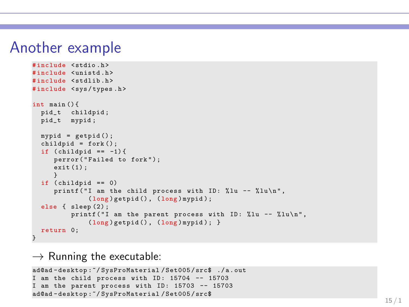#### Another example

```
# include < stdio .h >
# include < unistd .h >
#include <stdlib.h>
# include < sys / types .h >
int main () {
  pid_t childpid ;
  pid_t mypid ;
  mypid = getpid();
  child = fork();
  if (childpid == -1) {
      perror ("Failed to fork");
      exit(1):}
  if (child == 0)printf ("I am the child process with ID: \chilu -- \chilu\ln",
               (long ) getpid () , (long ) mypid ) ;
  else { sleep (2) ;
          printf ("I am the parent process with ID: \frac{9}{1}lu -- \frac{9}{1}lu \n",
               (long ) getpid () , (long ) mypid ) ; }
  return 0;
}
```
 $\rightarrow$  Running the executable:

```
ad@ad - desktop :~/ SysProMaterial / Set005 / src$ ./ a . out
I am the child process with ID: 15704 -- 15703
I am the parent process with ID: 15703 -- 15703
ad@ad - desktop :~/ SysProMaterial / Set005 / src$
```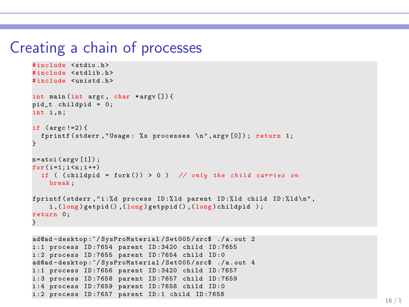#### Creating a chain of processes

```
# include < stdio .h >
#include <stdlib.h>
# include < unistd .h >
int main (int argc , char * argv []) {
pid_t childpid = 0;
int i.n:
if (\text{arec }!=2) {
  fprintf (stderr, "Usage: % s processes \n", argy [0]); return 1;
}
n = atoi (arev [1]):
for ( i = 1 : i < n : i++)if ( ( childpid = fork () ) > 0 ) // only the child carries on
    break ;
fprintf (stderr, "i: "%d process ID: "ld parent ID: "ld child ID: "ld \n",
    i, (long) getpid (), (long) getppid (), (long) childpid );
return 0;
}
```

```
ad@ad - desktop :~/ SysProMaterial / Set005 / src$ ./ a . out 2
i :1 process ID :7654 parent ID :3420 child ID :7655
i :2 process ID :7655 parent ID :7654 child ID :0
ad@ad - desktop :~/ SysProMaterial / Set005 / src$ ./ a . out 4
i :1 process ID :7656 parent ID :3420 child ID :7657
i :3 process ID :7658 parent ID :7657 child ID :7659
i :4 process ID :7659 parent ID :7658 child ID :0
i :2 process ID :7657 parent ID :1 child ID :7658
```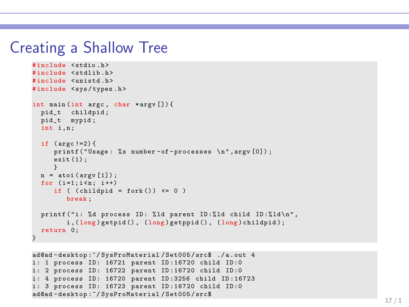#### Creating a Shallow Tree

```
# include < stdio .h >
#include <stdlib.h>
#include <unistd.h>
# include < sys / types .h >
int main (int argc , char * argv []) {
  pid_t childpid ;
 pid_t mypid ;
  int i.n:
  if (\arg c != 2) {
     printf ("Usage: %s number-of-processes \n", argv [0]);
     exit (1) ;
      }
  n = \text{atoi}(\arg v[1]);for (i=1:i \le n: i++)if ((childpid = fork()) \leq 0)break ;
  printf ("i: %d process ID: %ld parent ID: %ld child ID: %ld \n",
         i, (long) getpid (), (long) getppid (), (long) childpid);
  return 0;
}
```

```
ad@ad - desktop :~/ SysProMaterial / Set005 / src$ ./ a . out 4
i: 1 process ID: 16721 parent ID:16720 child ID:0
i: 2 process ID: 16722 parent ID:16720 child ID:0
i: 4 process ID: 16720 parent ID:3256 child ID:16723
i: 3 process ID: 16723 parent ID:16720 child ID:0
ad@ad - desktop :~/ SysProMaterial / Set005 / src$
```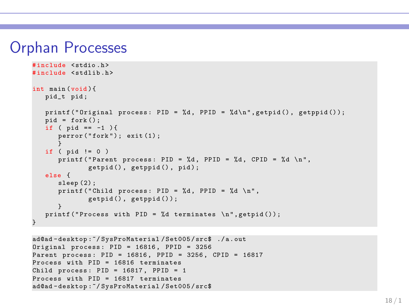#### Orphan Processes

```
# include < stdio .h >
#include <stdlib.h>
int main (void ){
   pid_t pid ;
   printf ("Original process: PID = \lambdad, PPID = \lambdad\langle n", getpid (), getppid ());
   pid = fork();
   if ( pid == -1 ) {
       \texttt{perform('fork')}: \texttt{exit(1)}:}
   if ( pid != 0)printf ("Parent process: PID = %d, PPID = %d, CPID = %d \n",
               getpid(), getppid(), pid);
   else {
       sleep (2):
      printf ("Child process: PID = \%d, PPID = \%d \n",
               getpid(), getppid();
       }
   printf ("Process with PID = \lambdad terminates \n", getpid());
}
```

```
ad@ad - desktop :~/ SysProMaterial / Set005 / src$ ./ a . out
Original process: PID = 16816, PPID = 3256Parent process : PID = 16816 , PPID = 3256 , CPID = 16817
Process with PID = 16816 terminates
Child process: PID = 16817, PPID = 1Process with PID = 16817 terminates
ad@ad - desktop :~/ SysProMaterial / Set005 / src$
```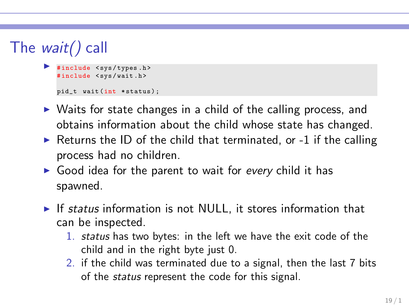# The wait() call

```
#include <sys/types.h>
#include <sys/wait.h>
pid_t wait (int *status);
```
- ► Waits for state changes in a child of the calling process, and obtains information about the child whose state has changed.
- $\triangleright$  Returns the ID of the child that terminated, or -1 if the calling process had no children.
- ► Good idea for the parent to wait for *every* child it has spawned.
- ► If *status* information is not NULL, it stores information that can be inspected.
	- 1. *status* has two bytes: in the left we have the exit code of the child and in the right byte just 0.
	- 2. if the child was terminated due to a signal, then the last 7 bits of the *status* represent the code for this signal.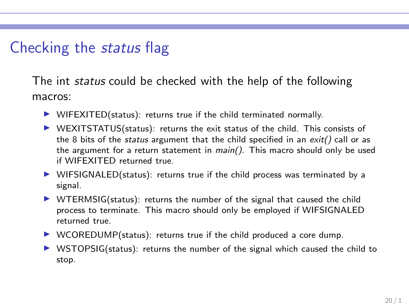### Checking the status flag

The int *status* could be checked with the help of the following macros:

- $\triangleright$  WIFEXITED(status): returns true if the child terminated normally.
- $\triangleright$  WEXITSTATUS(status): returns the exit status of the child. This consists of the 8 bits of the *status* argument that the child specified in an  $exit()$  call or as the argument for a return statement in main(). This macro should only be used if WIFEXITED returned true.
- $\triangleright$  WIFSIGNALED(status): returns true if the child process was terminated by a signal.
- $\triangleright$  WTERMSIG(status): returns the number of the signal that caused the child process to terminate. This macro should only be employed if WIFSIGNALED returned true.
- $\triangleright$  WCOREDUMP(status): returns true if the child produced a core dump.
- $\triangleright$  WSTOPSIG(status): returns the number of the signal which caused the child to stop.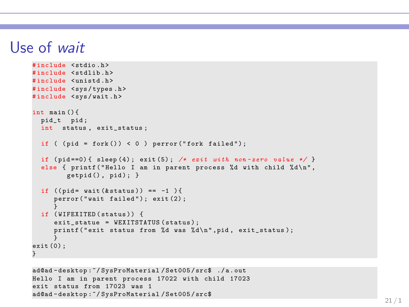#### Use of wait

```
# include < stdio .h >
#include <stdlib.h>
#include <unistd.h>
# include < sys / types .h >
#include <sys/wait.h>
int main () {
 pid_t pid ;
  int status, exit status ;
  if ( (pid = fork()) < 0 ) perror ("fork failed");
  if (pid == 0) { sleep (4); exit (5); /* exit with non-zero value */ }
  else { printf ("Hello I am in parent process %d with child %d\n",
        getpid(), pid); }
  if ((mid = wait(kstatus)) == -1)perror ("wait failed"); exit (2);
  }
if ( WIFEXITED ( status )) {
     exit_statue = WEXITSTATUS (status);
     printf (" exit status from %d was %d\n", pid, exit status);
     }
ext(0):
}
```

```
ad@ad - desktop :~/ SysProMaterial / Set005 / src$ ./ a . out
Hello I am in parent process 17022 with child 17023
exit status from 17023 was 1
ad@ad - desktop :~/ SysProMaterial / Set005 / src$
```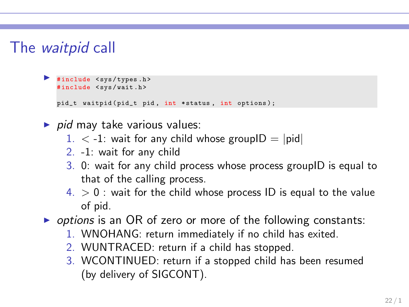### The waitpid call

```
◮ # include < sys / types .h >
 #include <sys/wait.h>
 pid_t waitpid (pid_t pid, int * status, int options);
```
- ▶ *pid* may take various values:
	- $1. < -1$ : wait for any child whose groupID = |pid|
	- 2. -1: wait for any child
	- 3. 0: wait for any child process whose process groupID is equal to that of the calling process.
	- $4. > 0$ : wait for the child whose process ID is equal to the value of pid.
- ◮ *options* is an OR of zero or more of the following constants:
	- 1. WNOHANG: return immediately if no child has exited.
	- 2. WUNTRACED: return if a child has stopped.
	- 3. WCONTINUED: return if a stopped child has been resumed (by delivery of SIGCONT).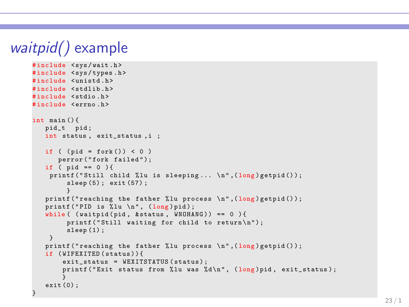```
waitpid() example
     # include < sys / wait .h >
     #include <sys/types.h>
     #include <unistd.h>
     #include <stdlib.h>
     # include < stdio .h >
     # include < errno .h >
     int main () {
         pid t pid:
        int status, exit status, i ;
        if ( (pid = fork()) < 0 )
            perror ("fork failed");
        if ( pid == 0 ) {
          printf ("Still child %lu is sleeping... \n", (long)getpid());
              sleep (5) ; exit (57) ;
              }
         printf ("reaching the father ","lu process \n", long) getpid());
         printf ("PID is \lambdalu \n", (long) pid);
         while ( (waitpid (pid, & status, WNOHANG)) == 0 ){
              printf ("Still waiting for child to return\langle n'' \rangle;
              sleep(1):
         }
         printf ("reaching the father ","lu process \ln", (long) getpid ());
        if ( WIFEXITED ( status ) ) {
             exit status = WEXITSTATUS ( status ) ;
             printf ("Exit status from %lu was %d\n", (long)pid. exit status) ;
             }
         exit (0) ;
      }
```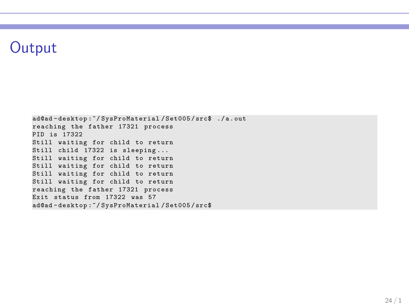### **Output**

ad@ad - desktop :~/ SysProMaterial / Set005 / src\$ ./ a . out reaching the father 17321 process PID is 17322 Still waiting for child to return Still child 17322 is sleeping ... Still waiting for child to return Still waiting for child to return Still waiting for child to return Still waiting for child to return reaching the father 17321 process Exit status from 17322 was 57 ad@ad - desktop :~/ SysProMaterial / Set005 / src\$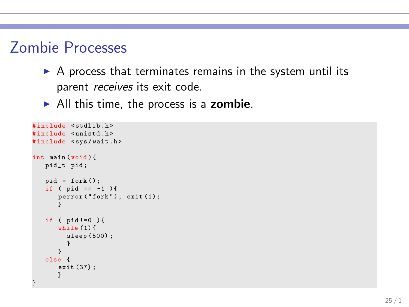### Zombie Processes

- $\triangleright$  A process that terminates remains in the system until its parent *receives* its exit code.
- $\blacktriangleright$  All this time, the process is a zombie.

```
# include < stdlib .h >
#include <unistd.h>
#include <sys/wait.h>
int main (void ){
   pid_t pid ;
   pid = fork();
   if ( pid == -1 ) {
       perror ("fork"); exit (1);
       }
   if ( pid !=0 ) {
      while (1) {
         sleep (500) ;
         }
       }
   else {
      exit (37) ;
       }
}
```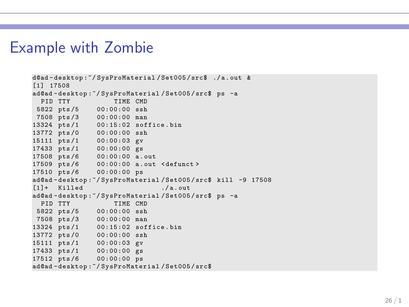#### Example with Zombie

```
d@ad - desktop :~/ SysProMaterial / Set005 / src$ ./ a . out &
[1] 17508
ad@ad-desktop:"/SysProMaterial/Set005/src$ ps -a<br>PID TTY TIME CMD
                      TIME CMD
5822 pts /5 00:00:00 ssh
7508 pts /3 00:00:00 man
13324 pts /1 00:15:02 soffice . bin
13772 pts /0 00:00:00 ssh
15111 pts /1 00:00:03 gv
17433 pts /1 00:00:00 gs
17508 pts /6 00:00:00 a . out
17509 pts /6 00:00:00 a . out < defunct >
17510 pts /6 00:00:00 ps
ad@ad - desktop :~/ SysProMaterial / Set005 / src$ kill -9 17508
[1] + Killed / a out
ad@ad-desktop:"/SysProMaterial/Set005/src$ ps -a<br>PID TTY TIME CMD
  PID TTV
 5822 pts /5 00:00:00 ssh
7508 pts /3 00:00:00 man
13324 pts /1 00:15:02 soffice . bin
13772 pts /0 00:00:00 ssh
15111 pts /1 00:00:03 gv
17433 pts /1 00:00:00 gs
17512 pts /6 00:00:00 ps
ad@ad - desktop :~/ SysProMaterial / Set005 / src$
```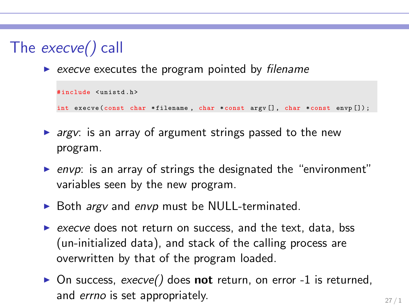# The execve() call

◮ *execve* executes the program pointed by *filename*

```
# include < unistd .h >
int execve (const char * filename , char * const argv [] , char *const envp []) ;
```
- ▶ *argv*: is an array of argument strings passed to the new program.
- ▶ *envp*: is an array of strings the designated the "environment" variables seen by the new program.
- ▶ Both *argv* and *envp* must be NULL-terminated.
- ▶ *execve* does not return on success, and the text, data, bss (un-initialized data), and stack of the calling process are overwritten by that of the program loaded.
- ▶ On success, *execve()* does **not** return, on error -1 is returned, and *errno* is set appropriately.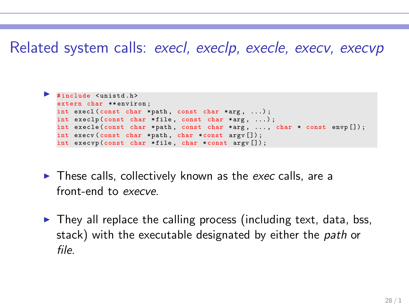#### Related system calls: execl, execlp, execle, execv, execvp

```
◮ # include < unistd .h >
 extern char ** environ:
 int execl (const char * path, const char * arg, ...);
 int execlp (const char *file, const char *arg, ...);
 int execle (const char *path, const char *arg, ..., char * const envp []);
 int execv (const char *path, char *const argv []);
 int execvp (const char * file , char * const argv []) ;
```
- ► These calls, collectively known as the *exec* calls, are a front-end to *execve*.
- $\triangleright$  They all replace the calling process (including text, data, bss, stack) with the executable designated by either the *path* or *file*.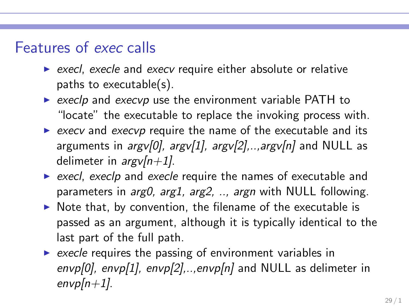#### Features of exec calls

- ▶ *execl, execle* and *execv* require either absolute or relative paths to executable(s).
- ► *execlp* and *execvp* use the environment variable PATH to "locate" the executable to replace the invoking process with.
- ▶ *execv* and *execvp* require the name of the executable and its arguments in *argv[0], argv[1], argv[2],..,argv[n]* and NULL as delimeter in *argv[n+1]*.
- ▶ *execl, execlp* and *execle* require the names of executable and parameters in *arg0, arg1, arg2, .., argn* with NULL following.
- $\triangleright$  Note that, by convention, the filename of the executable is passed as an argument, although it is typically identical to the last part of the full path.
- **►** *execle* requires the passing of environment variables in *envp[0], envp[1], envp[2],..,envp[n]* and NULL as delimeter in *envp[n+1]*.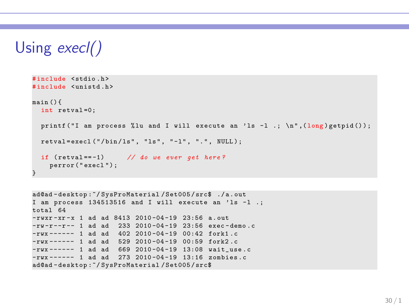## Using execl()

```
# include < stdio .h >
# include < unistd .h >
main () {
  int retval =0;
  printf ("I am process %lu and I will execute an 'ls -1 .; \ln", (\log) getpid ());
 retval = execl ( "/bin/ls", "ls", "-1", ".", NULL);
  if ( retval == -1) // do we ever get here ?
    perror ( " execl ") ;
}
```

```
ad@ad - desktop :~/ SysProMaterial / Set005 / src$ ./ a . out
I am process 134513516 and I will execute an 'ls -1.;
total 64
-rwxr-xr-x 1 ad ad 8413 2010-04-19 23:56 a.out
-rw-r--r-- 1 ad ad 233 2010-04-19 23:56 exec-demo.c
-rwx ------ 1 ad ad 402 2010 -04 -19 00:42 fork1 .c
-{\rm rwx} ----- 1 ad ad 529 2010-04-19 00:59 fork2.c
-rwx ------ 1 ad ad 669 2010-04-19 13:08 wait_use.c
-rwx ------ 1 ad ad 273 2010 -04 -19 13:16 zombies . c
ad@ad - desktop :~/ SysProMaterial / Set005 / src$
```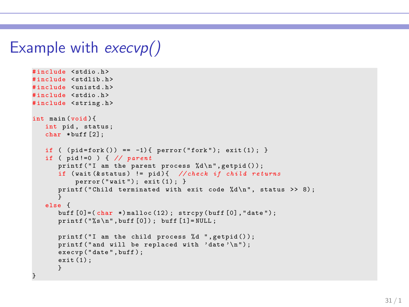### Example with execvp()

```
# include < stdio .h >
# include < stdlib .h >
# include < unistd .h >
# include < stdio .h >
#include <string.h>
int main (void ){
   int pid, status;
   char * buff [2];
   if ( (pid = fork() ) == -1) { perform ( "fork"); exit (1); }if ( pid !=0 ) { // parent
       printf ("I am the parent process \lambda d \nightharpoonup", getpid ());
      if ( wait (& status ) != pid ){ // check if child returns
           perror("wait"); exit(1);}
       printf ("Child terminated with exit code \lambdad \n", status >> 8);
       }
   else {
       buff [0] = (char *) malloc (12); strcpy (buff [0], "date");
       print(f("%s\nu", buffer[0]); buffer[1]= NULL;printf ("I am the child process %d ", getpid ());
       printf ("and will be replaced with 'date'\n");
       execvp ("date", buff);
      ext(1):
       }
}
```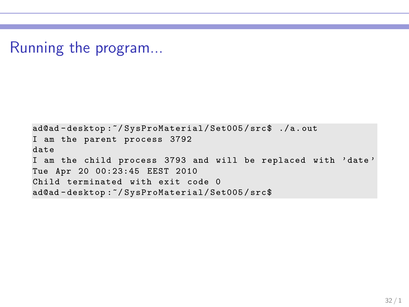Running the program...

ad@ad - desktop :~/ SysProMaterial / Set005 / src\$ ./ a. out I am the parent process 3792 date I am the child process 3793 and will be replaced with ' date ' Tue Apr 20 00:23:45 EEST 2010 Child terminated with exit code 0 ad@ad - desktop :~/ SysProMaterial / Set005 / src\$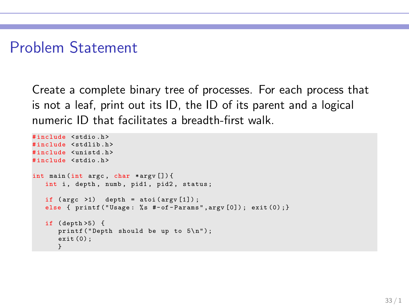### Problem Statement

Create a complete binary tree of processes. For each process that is not a leaf, print out its ID, the ID of its parent and a logical numeric ID that facilitates a breadth-first walk.

```
# include < stdio .h >
#include <stdlib.h>
#include <unistd.h>
# include < stdio .h >
int main (int argc , char * argv []) {
   int i, depth, numb, pid1, pid2, status;
   if (\arg c \ge 1) depth = atoi (\arg v [1]);
   else { printf ("Usage: %s #-of-Params", argv [0]); exit (0) ; }
   if ( depth >5) {
      printf ("Depth should be up to 5\n\\n");
      exit (0) ;
      }
```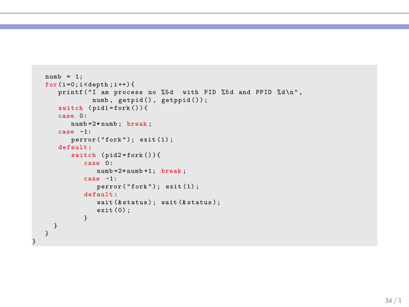```
numb = 1:
for (i=0; i \leq \text{depth}; i++)printf ("I am process no %5d with PID %5d and PPID %d\n",
            numb, getpid(), getppid());
   switch (pid1 = fork())case 0:
       numb =2* numb ; break ;
   case -1:
       \text{perror}("fork"); \text{ exit}(1);default :
       switch (pid2=fork()){
          case 0:
              numb =2* numb +1; break ;
          case -1:
              perror ("fork"); exit (1);
          default :
              wait (k status); wait (k status);
              exit (0) ;
          }
 }
}
```
}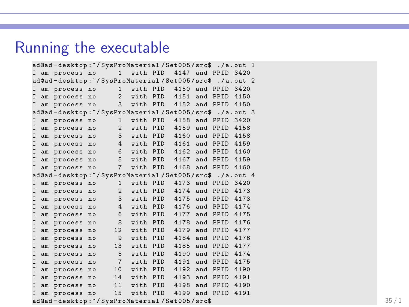#### Running the executable

```
ad@ad-desktop:"/SysProMaterial/Set005/src$ ./a.out 1
I am process no 1 with PID 4147 and PPID 3420
ad@ad - desktop :~/ SysProMaterial / Set005 / src$ ./ a . out 2
I am process no 1 with PID 4150 and PPID 3420
I am process no 2 with PID 4151 and PPID 4150<br>I am process no 3 with PID 4152 and PPID 4150
                       3 with PID 4152 and PPID 4150
ad@ad - desktop :~/ SysProMaterial / Set005 / src$ ./ a . out 3
I am process no 1 with PID 4158 and PPID 3420
I am process no 2 with PID 4159 and PPID 4158
I am process no 3 with PID 4160 and PPID 4158
I am process no 4 with PID 4161 and PPID 4159
I am process no 6 with PID 4162 and PPID 4160
I am process no 5 with PID 4167 and PPID 4159
I am process no 7 with PID 4168 and PPID 4160
ad@ad - desktop :~/ SysProMaterial / Set005 / src$ ./ a . out 4
I am process no 1 with PID 4173 and PPID 3420<br>I am process no 2 with PID 4174 and PPID 4173
I am process no
I am process no 3 with PID 4175 and PPID 4173
I am process no 4 with PID 4176 and PPID 4174
I am process no 6 with PID 4177 and PPID 4175
I am process no 8 with PID 4178 and PPID 4176
I am process no 12 with PID 4179 and PPID 4177<br>I am process no 9 with PID 4184 and PPID 4176
I am process no 9 with PID 4184 and PPID 4176<br>I am process no 13 with PID 4185 and PPID 4177
                      13 with PID 4185 and PPID 4177
I am process no 5 with PID 4190 and PPID 4174
I am process no 7 with PID 4191 and PPID 4175<br>I am process no 10 with PID 4192 and PPID 4190
I am process no 10 with PID 4192 and PPID 4190
                      14 with PID 4193 and PPID 4191
I am process no 11 with PID 4198 and PPID 4190
I am process no 15 with PID 4199 and PPID 4191
ad@ad - desktop: \gamma SysProMaterial / Set005/src$ 35 / 1
```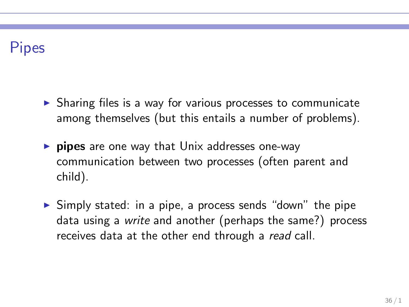### Pipes

- ▶ Sharing files is a way for various processes to communicate among themselves (but this entails a number of problems).
- $\triangleright$  pipes are one way that Unix addresses one-way communication between two processes (often parent and child).
- ► Simply stated: in a pipe, a process sends "down" the pipe data using a *write* and another (perhaps the same?) process receives data at the other end through a *read* call.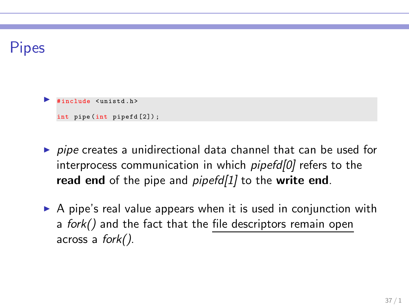### Pipes

include <unistd h>

int pipe (int pipefd [2]) ;

- ▶ *pipe* creates a unidirectional data channel that can be used for interprocess communication in which *pipefd[0]* refers to the read end of the pipe and *pipefd[1]* to the write end.
- $\triangleright$  A pipe's real value appears when it is used in conjunction with a *fork()* and the fact that the file descriptors remain open across a *fork()*.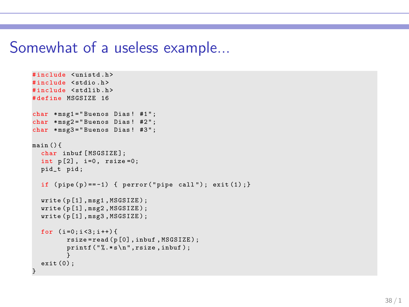#### Somewhat of a useless example...

```
#include <unistd.h>
#include <stdio.h>
#include <stdlib.h>
# define MSGSIZE 16
char *msg1="Buenos Dias! #1";
char *msg2="Buenos Dias! #2";
char *msg3="Buenos Dias! #3":
main () {
  char inbuf [MSGSIZE]:
  int p[2], i=0, rsize=0;
  pid t pid:
  if (pipe(p) == -1) { perror ("pipe call"); exit (1); }
  write ( p [1] , msg1 , MSGSIZE ) ;
  write (p[1], msg2, MSGSIZE);
  write( p[1], mse3, MSGSIZE):
  for (i=0:i<3:i++) {
         rsize = read ( p [0] , inbuf , MSGSIZE ) ;
         print(f(" %. *s \n) " . rsize . in but ):
         }
  exit (0) ;
}
```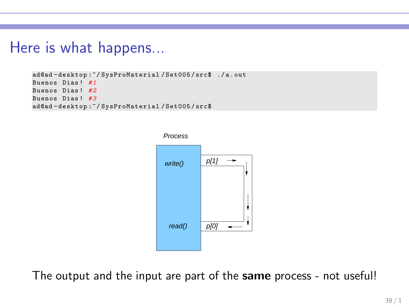#### Here is what happens...

```
ad@ad - desktop :~/ SysProMaterial / Set005 / src$ ./ a . out
Buenos Dias ! # 1
Buenos Dias ! # 2
Buenos Dias ! # 3
ad@ad - desktop :~/ SysProMaterial / Set005 / src$
```


The output and the input are part of the same process - not useful!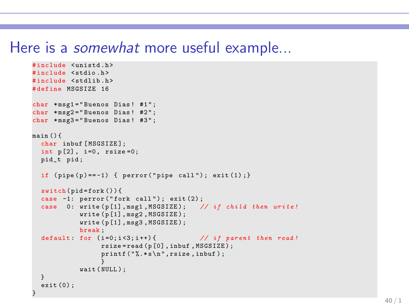#### Here is a *somewhat* more useful example...

```
# include < unistd .h >
# include < stdio .h >
#include <stdlib.h>
# define MSGSIZE 16
char *msg1="Buenos Dias! #1":
char * msz2 = "Buenos \ Dis.  #2" :char *msg3="Buenos Dias! #3";
main () {
  char inbuf [MSGSIZE];
 int p[2], i=0, rsize=0;
  pid_t pid ;
  if (pipe(p) == -1) { perror ("pipe call"); exit (1); }
  switch(pid=fork()){
  case -1: perror ("fork call"); exit (2);
  case 0: write (p[1], msg1, MSGSIZE); // if child then write!
            write ( p [1] , msg2 , MSGSIZE );
            write ( p [1] , msg3 , MSGSIZE );
            break ;
  default : for ( i =0; i <3; i ++) { // if parent then read !
                  rsize = read (p [0] , inbuf , MSGSIZE ) ;
                  print(f(" % . * s \n", raise , inbuf);}
wait ( NULL ) ;
  }
  exit (0) ;
}
```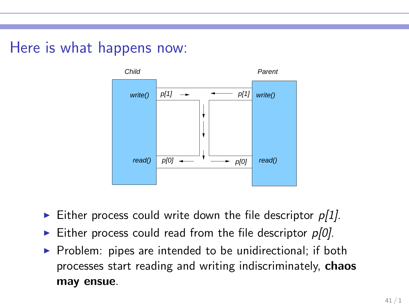### Here is what happens now:



- ► Either process could write down the file descriptor *p[1]*.
- Either process could read from the file descriptor  $p[0]$ .
- $\triangleright$  Problem: pipes are intended to be unidirectional; if both processes start reading and writing indiscriminately, chaos may ensue.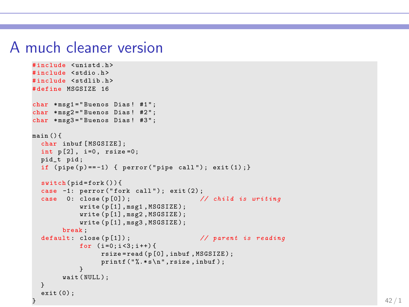#### A much cleaner version

```
# include < unistd .h >
# include < stdio .h >
#include <stdlib.h>
# define MSGSIZE 16
char *msg1="Buenos Dias! #1";
char *msg2="Buenos Dias! #2";
char *msg3="Buenos Dias! #3";
main () {
  char inbuf [MSGSIZE];
  int p[2], i=0, rsize=0;
  pid_t pid ;
  if (pipe(p) == -1) { perror ("pipe call"); exit (1); }
  switch(pid=fork()){
  case -1: perror ("fork call"): exit (2):
  case 0: close ( p [0]) ; // child is writing
              write ( p [1] , msg1 , MSGSIZE );
              write ( p [1] , msg2 , MSGSIZE );
              write ( p [1] , msg3 , MSGSIZE );
         break ;
  default : close ( p [1]) ; // parent is reading
              for (i=0:i<3:i++) {
                    rsize = read (p [0] , inbuf , MSGSIZE ) ;
                    printf(" %. * s \n" , rise , inbuf );}
         wait ( NULL ) ;
  }
  ext(0):
} and the contract of the contract of the contract of the contract of the contract of the contract of the contract of the contract of the contract of the contract of the contract of the contract of the contract of the con
```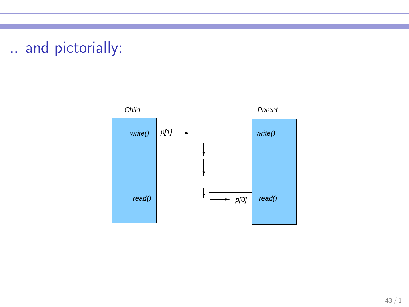## .. and pictorially:

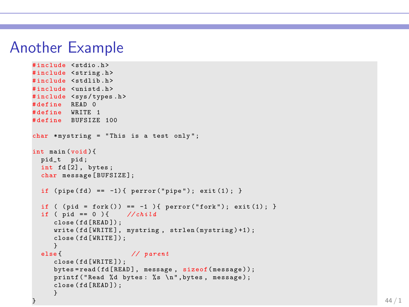#### Another Example

```
# include < stdio .h >
#include <string.h>
#include <stdlib.h>
# include < unistd .h >
#include <sys/types.h>
# define READ 0
# define WRITE 1
# define BUFSIZE 100
char *mystring = "This is a test only";
int main (void ){
 pid_t pid ;
 int fd [2] , bytes ;
  char message [BUFSIZE];
  if (pine (fd) == -1) perror ("pipe"); exit (1): }
  if ( (pid = fork()) == -1 ) { perror("fork"); exit(1); }
  if (i \text{ pid} == 0) \{ // child
     close (fd [READ]);
     write (fd [WRITE], mystring, strlen (mystring) +1);
     close ( fd [ WRITE ]) ;
     }
  else { // parent
     close ( fd [ WRITE ]) ;
     bytes = read ( fd [ READ ], message , sizeof( message ) );
     printf ("Read %d bytes: %s \n", bytes, message);
     close ( fd [ READ ]) ;
     }
```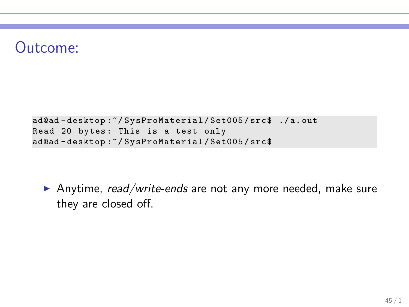### Outcome:

```
ad@ad - desktop :~/ SysProMaterial / Set005 / src$ ./ a. out
Read 20 bytes: This is a test only
ad@ad - desktop :~/ SysProMaterial / Set005 / src$
```
▶ Anytime, *read/write-ends* are not any more needed, make sure they are closed off.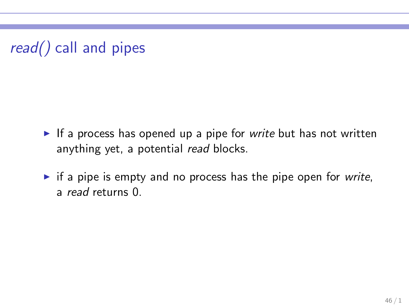$read()$  call and pipes

- ► If a process has opened up a pipe for *write* but has not written anything yet, a potential *read* blocks.
- ► if a pipe is empty and no process has the pipe open for *write*, a *read* returns 0.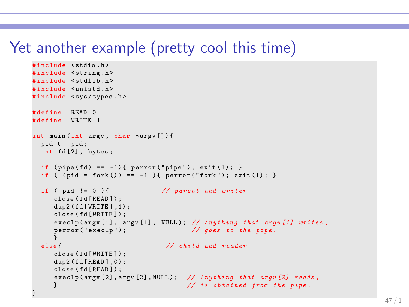## Yet another example (pretty cool this time)

```
# include < stdio .h >
#include <string.h>
#include <stdlib.h>
# include < unistd .h >
#include <sys/types.h>
# define READ 0
# define WRITE 1
int main (int argc , char * argv []) {
 pid_t pid ;
  int fd [2] , bytes ;
  if (pipe (fd) == -1) { perror ("pipe"); exit (1);}
  if ( (pid = fork()) == -1 ) { perror("fork"); exit(1); }
  if ( pid != 0 ) { // parent and writer
     close ( fd [ READ ]) ;
     dup2(fd[WRITE].1):
     close ( fd [ WRITE ]) ;
     execlp ( argv [1] , argv [1] , NULL ); // Anything that argv [1] writes ,
     perror ("execlp"): \frac{1}{2} goes to the pipe.
  }<br>|else
                                 else { // child and reader
     close ( fd [ WRITE ]) ;
     dup2 (fd [READ 1.0):
     close ( fd [ READ ]) ;
     execlp ( argv [2] , argv [2] , NULL ) ; // Anything that argv [2] reads ,
     } // is obtained from the pipe .
}
```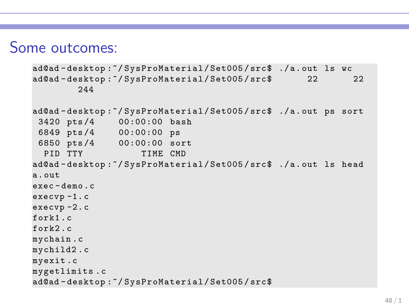### Some outcomes:

```
ad@ad - desktop :~/ SysProMaterial / Set005 / src$ ./ a. out ls wc
ad@ad-desktop:"/SysProMaterial/Set005/src$ 22 22
        244
ad@ad - desktop :~/ SysProMaterial / Set005 / src$ ./ a. out ps sort
 3420 pts /4 00:00:00 bash
 6849 pts /4 00:00:00 ps
 6850 pts /4 00:00:00 sort
 PID TTY TIME CMD
ad@ad-desktop:"/SysProMaterial/Set005/src$ ./a.out ls head
a. out
exec - demo .c
execvp -1. c
execvp -2. c
fork1 . c
fork2cmychain .c
mychild2 . c
myexit .c
mygetlimits .c
ad@ad - desktop :~/ SysProMaterial / Set005 / src$
```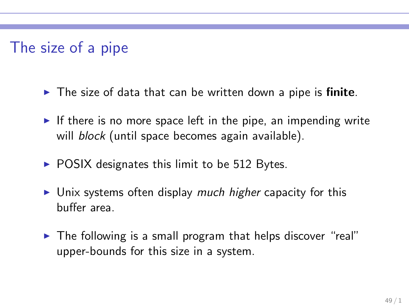## The size of a pipe

- $\triangleright$  The size of data that can be written down a pipe is finite.
- $\triangleright$  If there is no more space left in the pipe, an impending write will *block* (until space becomes again available).
- $\triangleright$  POSIX designates this limit to be 512 Bytes.
- ► Unix systems often display *much higher* capacity for this buffer area.
- ► The following is a small program that helps discover "real" upper-bounds for this size in a system.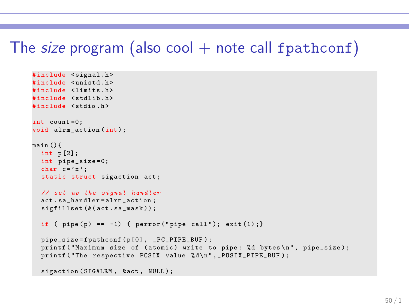### The size program (also cool  $+$  note call fpathconf)

```
#include <signal.h>
#include <unistd.h>
#include <limits.h>
#include <stdlib.h>
# include < stdio .h >
int count =0;
void alrm action (int) ;
main () {
  int p [2];
 int pipe_size =0;
  char c = 'x':
  static struct sigaction act ;
 // set up the signal handler
  act . sa_handler = alrm_action ;
  sigfillset (k(act.sa_mask)) ;
  if ( pipe(p) == -1) { perror("pipe call"); exit (1);}pipe_size = fpathconf ( p [0] , _PC_PIPE_BUF ) ;
  printf ("Maximum size of (atomic) write to pipe: %d bytes\n", pipe_size);
  printf ("The respective POSIX value %d\n", _POSIX_PIPE_BUF);
  sigaction (SIGALRM, & act, NULL);
```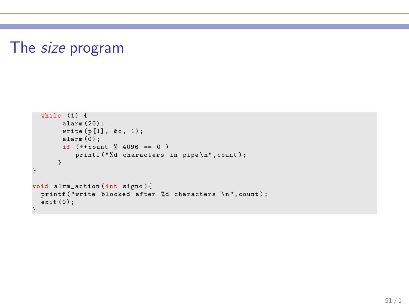## The size program

```
while (1) {
       alarm (20) ;
       write ( p [1], &c, 1);alarm (0) ;
       if (++ count \% 4096 == 0 )
          printf ("%d characters in pipe \n", count);
      }
}
void alrm_action (int signo ){
 printf ("write blocked after %d characters \n", count);
 ext(0);
}
```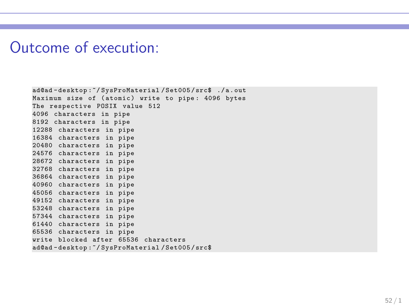#### Outcome of execution:

```
ad@ad - desktop :~/ SysProMaterial / Set005 / src$ ./ a . out
Maximum size of (atomic) write to pipe: 4096 bytes
The respective POSIX value 512
4096 characters in pipe
8192 characters in pipe
12288 characters in pipe
16384 characters in pipe
20480 characters in pipe
24576 characters in pipe
28672 characters in pipe
32768 characters in pipe
36864 characters in pipe
40960 characters in pipe
45056 characters in pipe
49152 characters in pipe
53248 characters in pipe
57344 characters in pipe
61440 characters in pipe
65536 characters in pipe
write blocked after 65536 characters
ad@ad - desktop :~/ SysProMaterial / Set005 / src$
```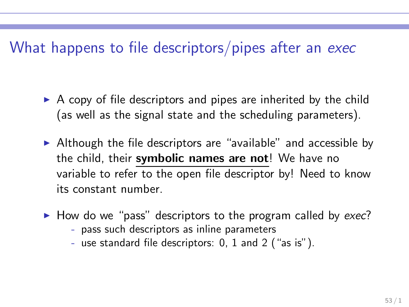### What happens to file descriptors/pipes after an exec

- $\triangleright$  A copy of file descriptors and pipes are inherited by the child (as well as the signal state and the scheduling parameters).
- $\triangleright$  Although the file descriptors are "available" and accessible by the child, their symbolic names are not! We have no variable to refer to the open file descriptor by! Need to know its constant number.
- ► How do we "pass" descriptors to the program called by *exec*?
	- pass such descriptors as inline parameters
	- use standard file descriptors: 0, 1 and 2 ("as is").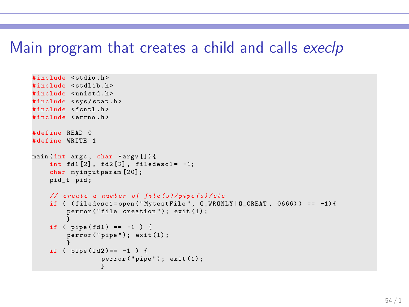#### Main program that creates a child and calls execlp

```
# include < stdio .h >
#include <stdlib.h>
#include <unistd.h>
#include <sys/stat.h>
#include <fcntl.h>
# include < errno .h >
# define READ 0
# define WRITE 1
main (int argc, char *argy []) {
    int fd1 [2], fd2 [2], filedesc1 = -1;
    char myinputparam [20];
    pid_t pid ;
    // create a number of file ( s) / pipe ( s) / etc
    if ( (iiledest = open("MytestFile", 0_WRONLY | 0_CREAT, 0666)) == -1)perror ("file creation"); exit (1);
     }
if ( pipe ( fd1 ) == -1 ) {
         \text{perror}(" \text{pipe}"); \text{ exit} (1);}
if ( pipe ( fd2 ) == -1 ) {
                  perror ("pipe"); exit (1):
                   }
```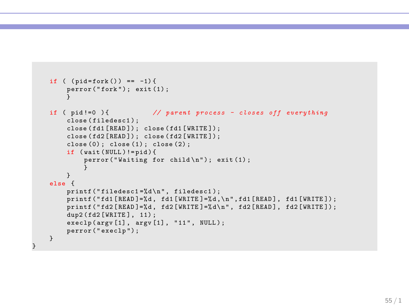```
if ( (pid = fork() ) == -1) {
    \text{perror}("fork"); \text{exit}(1);
     }
if ( pid !=0 ) { // parent process - closes off everything
    close (filedesc1) ;
    close ( fd1 [ READ ]) ; close ( fd1 [ WRITE ]) ;
    close (fd2 [READ]); close (fd2 [WRITE]);
    close(0); close(1); close(2);
    if ( wait ( NULL ) != pid ) {
         perror("Waiting for child \nightharpoonup n"); exit (1);
          }
    }
else {
    print('filedesc1 = %d\nu'. filedesc1):
    print("fd1 [ READ] = % d, fd1 [ WRITE] = % d \nvert (m + 1), fd1 [ READ], fd1 [ WRITE];
    print("fd2[READ] = % d, fd2[WRITE] = % d\nu, fd2[READ], fd2[WRITE]);
    dup2(fd2 [WRITE], 11) ;
    execlp(argv[1], argv[1], "11", NULL);
    perror ("execlp");
}
```
}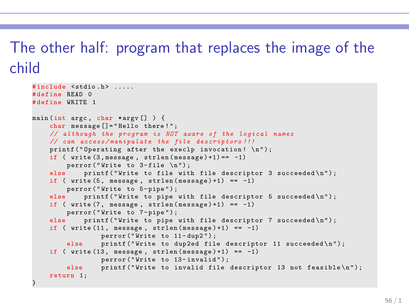## The other half: program that replaces the image of the child

```
# include < stdio .h > .....
# define READ 0
# define WRITE 1
main (int argc , char * argv [] ) {
    char message []= " Hello there ! " ;
    // although the program is NOT aware of the logical names
    // can access / manipulate the file descriptors !!!
    printf ("Operating after the execlp invocation! \{n\}):
    if ( write(3, message, strlen(message) + 1) == -1)perror ("Write to 3-file \n");
    else printf ("Write to file with file descriptor 3 succeeded \ln");
    if ( write (5, \text{ message}, \text{strlen}(\text{message})+1) == -1)
    perror ("Write to 5-pipe");<br>else printf ("Write to pipe")
              printf ("Write to pipe with file descriptor 5 succeeded \langle n'' \rangle;
    if ( write(7, message, strlen(message) + 1) == -1)perror ("Write to 7-pipe");<br>else printf ("Write to pipe")
              printf ("Write to pipe with file descriptor 7 succeeded \langle n'' \rangle;
    if ( write(11. message. strlen(messape) + 1) == -1)perror ("Write to 11-dup2");
         else printf ("Write to dup2ed file descriptor 11 succeeded \n");
    if ( write(13. message. strlen(messape) + 1) == -1)perror ("Write to 13-invalid");
         else printf ("Write to invalid file descriptor 13 not feasible \langle n'' \rangle;
    return 1;
}
```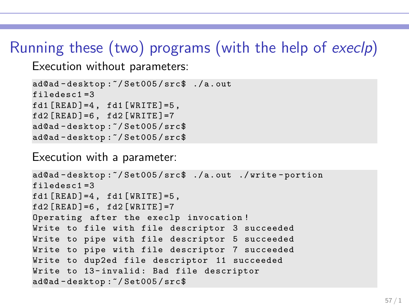## Running these (two) programs (with the help of execlp)

Execution without parameters:

```
ad@ad - desktop :~/ Set005 / src$ ./ a. out
filedesc1 =3
fd1 [READ]=4, fd1 [WRITE]=5,
fd2 [READ] = 6, fd2 [WRITE] = 7ad@ad - desktop :~/ Set005 / src$
ad@ad - desktop :~/ Set005 / src$
```
Execution with a parameter:

```
ad@ad - desktop :~/ Set005 / src$ ./ a. out ./ write - portion
filedesc1 =3
fd1 [READ] = 4, fd1 [WRITE] = 5,
fd2 [READ] = 6, fd2 [WRITE] = 7Operating after the execlp invocation !
Write to file with file descriptor 3 succeeded
Write to pipe with file descriptor 5 succeeded
Write to pipe with file descriptor 7 succeeded
Write to dup2ed file descriptor 11 succeeded
Write to 13-invalid: Bad file descriptor
ad@ad - desktop :~/ Set005 / src$
```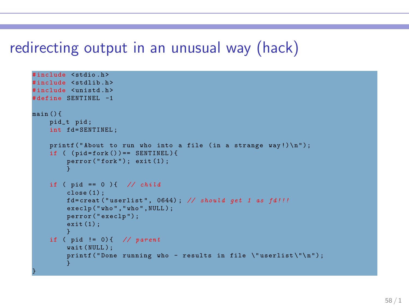### redirecting output in an unusual way (hack)

```
#include <stdio.h>
#include <stdlib.h>
# include < unistd .h >
# define SENTINEL -1
main () {
    pid_t pid ;
    int fd=SENTINEL:
     printf ("About to run who into a file (in a strange way!)\n\cdot);
    if ( (\text{pid=fork}() ) == \text{SENTINEL}) {
          \texttt{perform}("fork"); \texttt{exit(1)};
          }
    if ( pid == 0 ) { // child
         \text{close}(1):
          fd = creat ( " userlist " , 0644) ; // should get 1 as fd !!!
          execlp ("who","who", NULL);
         perror ("execlp");
          exit (1) ;
          }
     if ( pid != 0) { // parent
          wait ( NULL) :
          printf ("Done running who - results in file \Upsilon userlist \Upsilon \wedge \Upsilon );
          }
}
```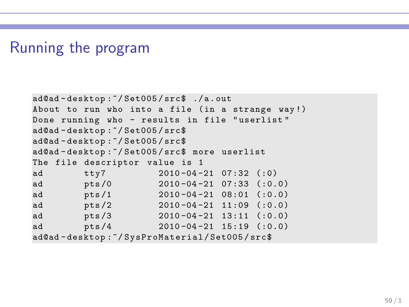#### Running the program

```
ad@ad - desktop :~/ Set005 / src$ ./ a. out
About to run who into a file (in a strange way!)
Done running who - results in file " userlist "
ad@ad - desktop :~/ Set005 / src$
ad@ad - desktop :~/ Set005 / src$
ad@ad - desktop :~/ Set005 / src$ more userlist
The file descriptor value is 1
ad tty7 2010 -04 -21 07:32 (:0)
ad pts /0 2010 -04 -21 07:33 (:0.0)
ad pts /1 2010-04-21 08:01 (:0.0)
ad pts /2 2010 -04 -21 11:09 (:0.0)
ad pts /3 2010 -04 -21 13:11 (:0.0)
ad pts /4 2010 -04 -21 15:19 (:0.0)
ad@ad - desktop :~/ SysProMaterial / Set005 / src$
```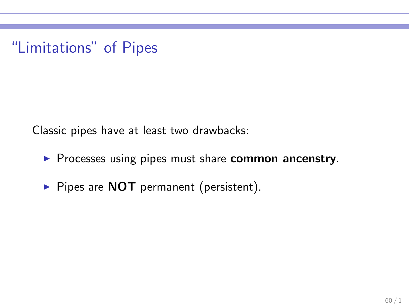"Limitations" of Pipes

Classic pipes have at least two drawbacks:

- ▶ Processes using pipes must share common ancenstry.
- ▶ Pipes are NOT permanent (persistent).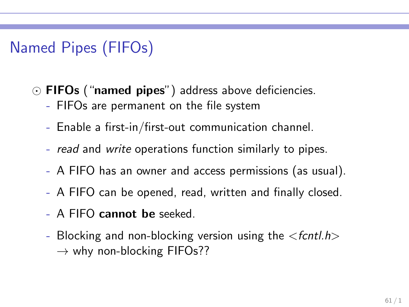## Named Pipes (FIFOs)

- ⊙ FIFOs ("named pipes") address above deficiencies.
	- FIFOs are permanent on the file system
	- Enable a first-in/first-out communication channel.
	- *read* and *write* operations function similarly to pipes.
	- A FIFO has an owner and access permissions (as usual).
	- A FIFO can be opened, read, written and finally closed.
	- A FIFO cannot be seeked.
	- Blocking and non-blocking version using the <*fcntl.h*>  $\rightarrow$  why non-blocking FIFOs??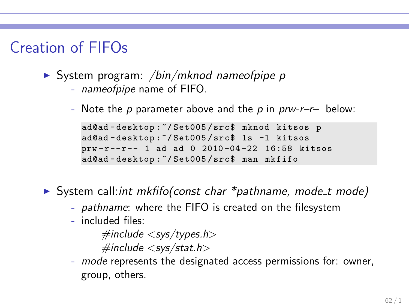### Creation of FIFOs

- ◮ System program: */bin/mknod nameofpipe p*
	- *nameofpipe* name of FIFO.
	- Note the *p* parameter above and the *p* in *prw-r–r–* below:

```
ad@ad - desktop :~/ Set005 / src$ mknod kitsos p
ad@ad - desktop :~/ Set005 / src$ ls -l kitsos
prw -r --r -- 1 ad ad 0 2010 -04 -22 16:58 kitsos
ad@ad - desktop :~/ Set005 / src$ man mkfifo
```
◮ System call:*int mkfifo(const char \*pathname, mode t mode)*

- *pathname*: where the FIFO is created on the filesystem
- included files:

*#include* <*sys/types.h*> *#include* <*sys/stat.h*>

- *mode* represents the designated access permissions for: owner, group, others.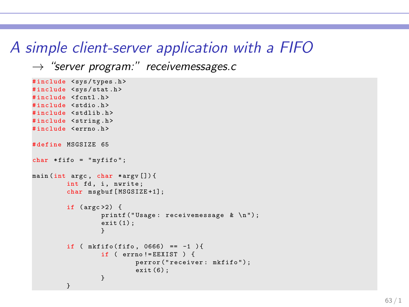#### A simple client-server application with a FIFO

```
→ "server program:" receivemessages.c
```

```
#include <svs/tvpes.h>
#include <sys/stat.h>
# include < fcntl .h >
#include <stdio.h>
#include <stdlib.h>
#include <string.h>
#include <errno.h>
# define MSGSIZE 65
char * fito = "myfito";main (int argc , char * argv []) {
        int fd. i. nwrite:
        char msgbuf [MSGSIZE+1];
        if (\text{argc} > 2) {
                 printf ("Usage: receivemessage & \n");
                 ext(1):
                 }
        if ( mkfifo(fifo, 0666) == -1 ){
                 if ( errno != EEXIST ) {
                          perror ("receiver: mkfifo");
                          ext(6);}
         }
```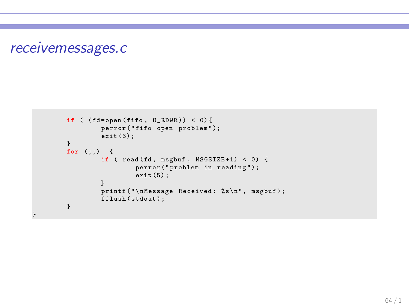#### receivemessages.c

}

```
if ( (fd = open (fito, 0_RDWR) ) < 0) {
         perror ("fifo open problem");
         ext{}(3):}
for (j; ) {
        if ( read (fd, msgbuf, MSGSIZE+1) < 0) {
                 perror (" problem in reading ") ;
                 ext(5):
         }
         printf ("\nMessage Received: %s\n", msgbuf);
        fflush ( stdout ) ;
}
```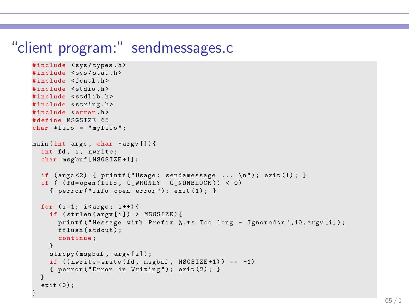#### "client program:" sendmessages.c

```
# include < sys / types .h >
#include <sys/stat.h>
#include <fcntl.h>
# include < stdio .h >
#include <stdlib.h>
#include <string.h>
# include <error .h >
# define MSGSIZE 65
char * fito = "myfito":
main (int argc, char *argy []) {
  int fd, i, nwrite;
  char msgbuf [MSGSIZE+1]:
  if (\arg c < 2) { printf ("Usage: sendamessage ... \ln"); exit (1); }
  if ( (fd = open(fifo, 0, WRONLY | 0, NONBLOCK)) < 0)\{ perror ("fifo open error"); exit (1): }
  for (i=1; i < argc; i++)if ( strlen ( argv [ i ]) > MSGSIZE ) {
       printf ("Message with Prefix \lambda*s Too long - Ignored \n", 10, argv [i]);
      fflush (stdout) ;
      continue ;
    }
    strcpy (msgbuf, argv[i]);
    if ((\text{nwrite} = \text{write} (fd, \text{msebuf}, \text{MSGSIZE} + 1)) == -1){ perror ( " Error in Writing ") ; exit (2) ; }
  }
  exit (0) ;
}
```